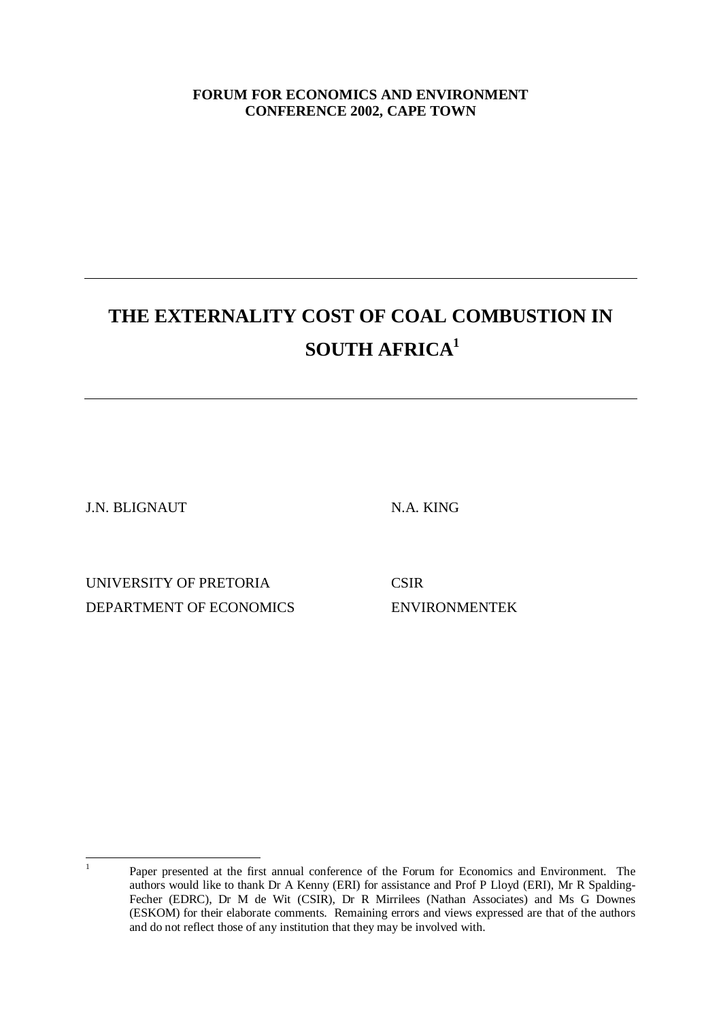# **FORUM FOR ECONOMICS AND ENVIRONMENT CONFERENCE 2002, CAPE TOWN**

# **THE EXTERNALITY COST OF COAL COMBUSTION IN SOUTH AFRICA<sup>1</sup>**

J.N. BLIGNAUT N.A. KING

UNIVERSITY OF PRETORIA CSIR DEPARTMENT OF ECONOMICS ENVIRONMENTEK

 $\frac{1}{1}$ 

Paper presented at the first annual conference of the Forum for Economics and Environment. The authors would like to thank Dr A Kenny (ERI) for assistance and Prof P Lloyd (ERI), Mr R Spalding-Fecher (EDRC), Dr M de Wit (CSIR), Dr R Mirrilees (Nathan Associates) and Ms G Downes (ESKOM) for their elaborate comments. Remaining errors and views expressed are that of the authors and do not reflect those of any institution that they may be involved with.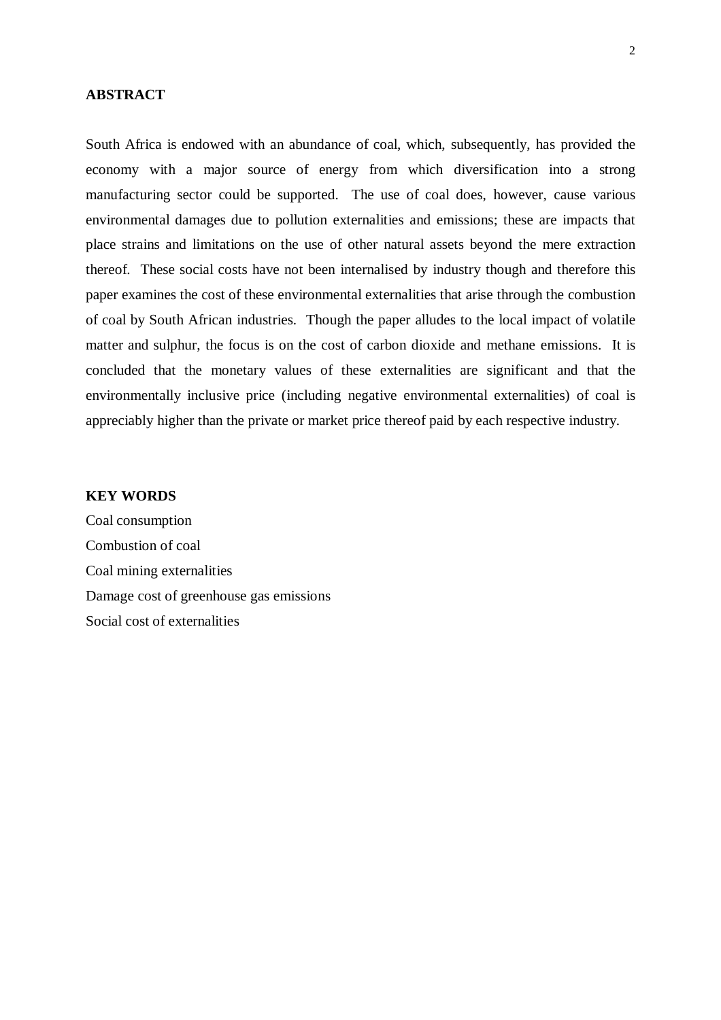## **ABSTRACT**

South Africa is endowed with an abundance of coal, which, subsequently, has provided the economy with a major source of energy from which diversification into a strong manufacturing sector could be supported. The use of coal does, however, cause various environmental damages due to pollution externalities and emissions; these are impacts that place strains and limitations on the use of other natural assets beyond the mere extraction thereof. These social costs have not been internalised by industry though and therefore this paper examines the cost of these environmental externalities that arise through the combustion of coal by South African industries. Though the paper alludes to the local impact of volatile matter and sulphur, the focus is on the cost of carbon dioxide and methane emissions. It is concluded that the monetary values of these externalities are significant and that the environmentally inclusive price (including negative environmental externalities) of coal is appreciably higher than the private or market price thereof paid by each respective industry.

### **KEY WORDS**

Coal consumption Combustion of coal Coal mining externalities Damage cost of greenhouse gas emissions Social cost of externalities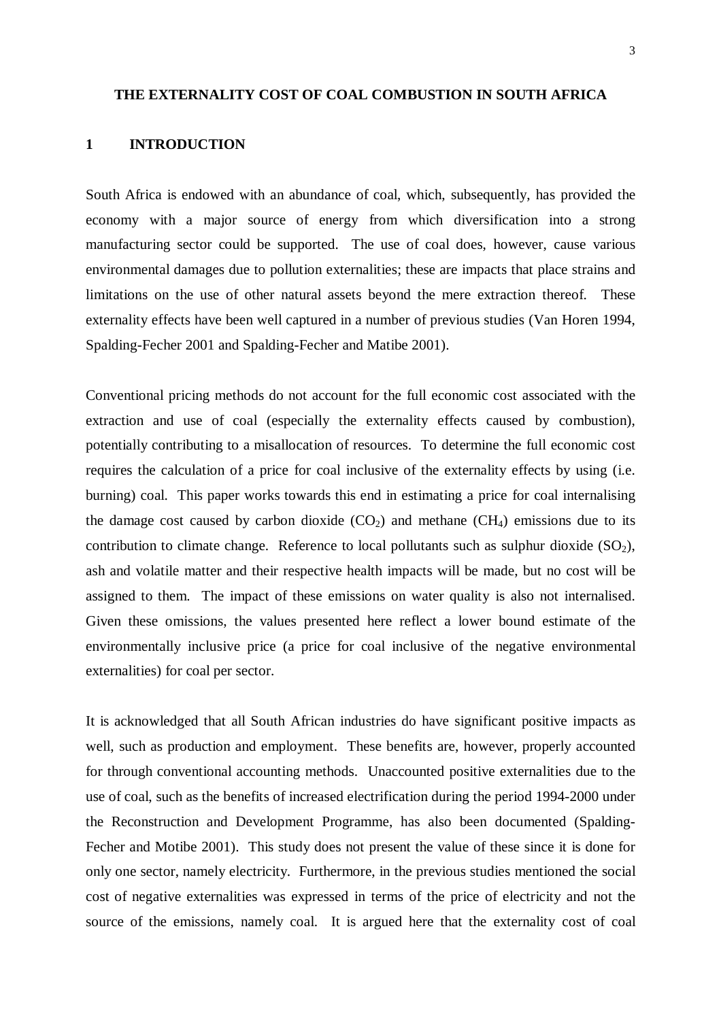#### **THE EXTERNALITY COST OF COAL COMBUSTION IN SOUTH AFRICA**

## **1 INTRODUCTION**

South Africa is endowed with an abundance of coal, which, subsequently, has provided the economy with a major source of energy from which diversification into a strong manufacturing sector could be supported. The use of coal does, however, cause various environmental damages due to pollution externalities; these are impacts that place strains and limitations on the use of other natural assets beyond the mere extraction thereof. These externality effects have been well captured in a number of previous studies (Van Horen 1994, Spalding-Fecher 2001 and Spalding-Fecher and Matibe 2001).

Conventional pricing methods do not account for the full economic cost associated with the extraction and use of coal (especially the externality effects caused by combustion), potentially contributing to a misallocation of resources. To determine the full economic cost requires the calculation of a price for coal inclusive of the externality effects by using (i.e. burning) coal. This paper works towards this end in estimating a price for coal internalising the damage cost caused by carbon dioxide  $(CO<sub>2</sub>)$  and methane  $(CH<sub>4</sub>)$  emissions due to its contribution to climate change. Reference to local pollutants such as sulphur dioxide  $(SO<sub>2</sub>)$ , ash and volatile matter and their respective health impacts will be made, but no cost will be assigned to them. The impact of these emissions on water quality is also not internalised. Given these omissions, the values presented here reflect a lower bound estimate of the environmentally inclusive price (a price for coal inclusive of the negative environmental externalities) for coal per sector.

It is acknowledged that all South African industries do have significant positive impacts as well, such as production and employment. These benefits are, however, properly accounted for through conventional accounting methods. Unaccounted positive externalities due to the use of coal, such as the benefits of increased electrification during the period 1994-2000 under the Reconstruction and Development Programme, has also been documented (Spalding-Fecher and Motibe 2001). This study does not present the value of these since it is done for only one sector, namely electricity. Furthermore, in the previous studies mentioned the social cost of negative externalities was expressed in terms of the price of electricity and not the source of the emissions, namely coal. It is argued here that the externality cost of coal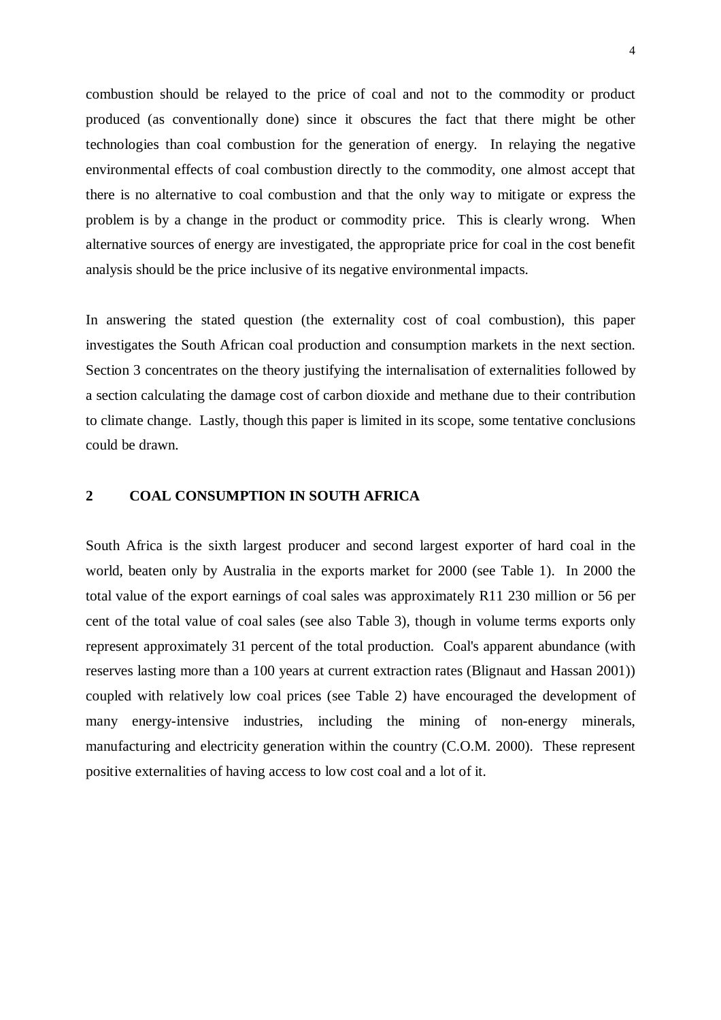combustion should be relayed to the price of coal and not to the commodity or product produced (as conventionally done) since it obscures the fact that there might be other technologies than coal combustion for the generation of energy. In relaying the negative environmental effects of coal combustion directly to the commodity, one almost accept that there is no alternative to coal combustion and that the only way to mitigate or express the problem is by a change in the product or commodity price. This is clearly wrong. When alternative sources of energy are investigated, the appropriate price for coal in the cost benefit analysis should be the price inclusive of its negative environmental impacts.

In answering the stated question (the externality cost of coal combustion), this paper investigates the South African coal production and consumption markets in the next section. Section 3 concentrates on the theory justifying the internalisation of externalities followed by a section calculating the damage cost of carbon dioxide and methane due to their contribution to climate change. Lastly, though this paper is limited in its scope, some tentative conclusions could be drawn.

## **2 COAL CONSUMPTION IN SOUTH AFRICA**

South Africa is the sixth largest producer and second largest exporter of hard coal in the world, beaten only by Australia in the exports market for 2000 (see Table 1). In 2000 the total value of the export earnings of coal sales was approximately R11 230 million or 56 per cent of the total value of coal sales (see also Table 3), though in volume terms exports only represent approximately 31 percent of the total production. Coal's apparent abundance (with reserves lasting more than a 100 years at current extraction rates (Blignaut and Hassan 2001)) coupled with relatively low coal prices (see Table 2) have encouraged the development of many energy-intensive industries, including the mining of non-energy minerals, manufacturing and electricity generation within the country (C.O.M. 2000). These represent positive externalities of having access to low cost coal and a lot of it.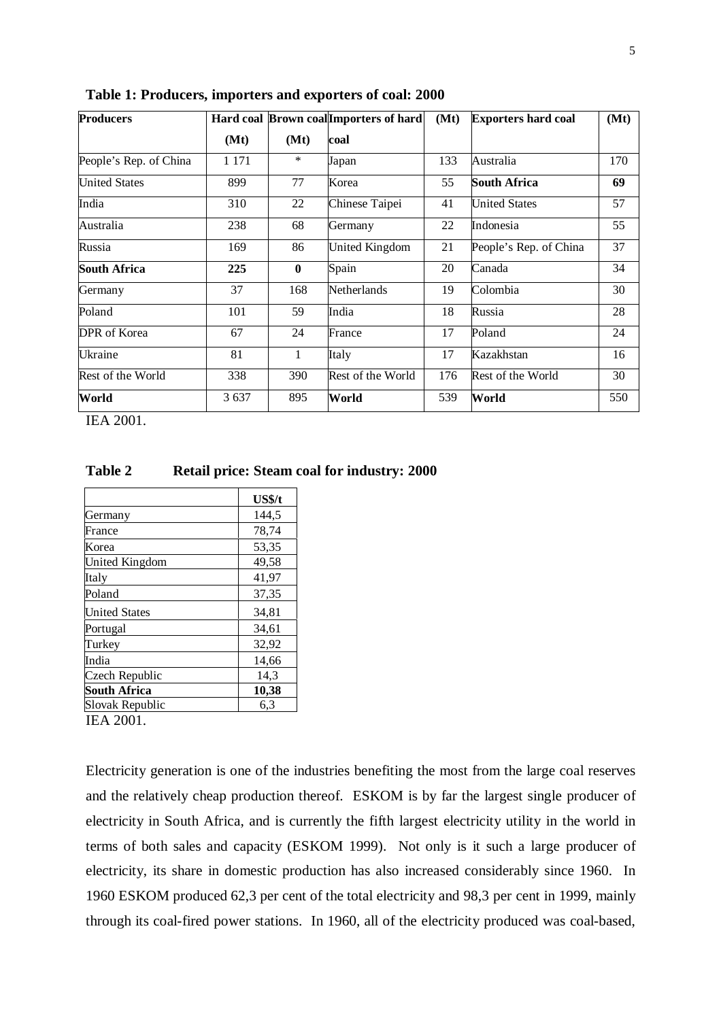| <b>Producers</b>       | Hard coal Brown coal Importers of hard |              |                   | (Mt) | <b>Exporters hard coal</b> | (Mt) |
|------------------------|----------------------------------------|--------------|-------------------|------|----------------------------|------|
|                        | (Mt)                                   | (Mt)         | coal              |      |                            |      |
| People's Rep. of China | 1 1 7 1                                | $\ast$       | Japan             | 133  | Australia                  | 170  |
| <b>United States</b>   | 899                                    | 77           | Korea             | 55   | <b>South Africa</b>        | 69   |
| India                  | 310                                    | 22           | Chinese Taipei    | 41   | <b>United States</b>       | 57   |
| Australia              | 238                                    | 68           | Germany           | 22   | Indonesia                  | 55   |
| Russia                 | 169                                    | 86           | United Kingdom    | 21   | People's Rep. of China     | 37   |
| <b>South Africa</b>    | 225                                    | $\bf{0}$     | Spain             | 20   | Canada                     | 34   |
| Germany                | 37                                     | 168          | Netherlands       | 19   | Colombia                   | 30   |
| Poland                 | 101                                    | 59           | India             | 18   | Russia                     | 28   |
| DPR of Korea           | 67                                     | 24           | France            | 17   | Poland                     | 24   |
| Ukraine                | 81                                     | $\mathbf{1}$ | Italy             | 17   | Kazakhstan                 | 16   |
| Rest of the World      | 338                                    | 390          | Rest of the World | 176  | Rest of the World          | 30   |
| World                  | 3 6 3 7                                | 895          | World             | 539  | World                      | 550  |

**Table 1: Producers, importers and exporters of coal: 2000**

IEA 2001.

**Table 2 Retail price: Steam coal for industry: 2000**

|                       | <b>US\$/t</b> |
|-----------------------|---------------|
| Germany               | 144,5         |
| France                | 78,74         |
| Korea                 | 53,35         |
| <b>United Kingdom</b> | 49,58         |
| Italy                 | 41,97         |
| Poland                | 37,35         |
| <b>United States</b>  | 34,81         |
| Portugal              | 34,61         |
| Turkey                | 32,92         |
| India                 | 14,66         |
| Czech Republic        | 14,3          |
| <b>South Africa</b>   | 10,38         |
| Slovak Republic       | 6,3           |

IEA 2001.

Electricity generation is one of the industries benefiting the most from the large coal reserves and the relatively cheap production thereof. ESKOM is by far the largest single producer of electricity in South Africa, and is currently the fifth largest electricity utility in the world in terms of both sales and capacity (ESKOM 1999). Not only is it such a large producer of electricity, its share in domestic production has also increased considerably since 1960. In 1960 ESKOM produced 62,3 per cent of the total electricity and 98,3 per cent in 1999, mainly through its coal-fired power stations. In 1960, all of the electricity produced was coal-based,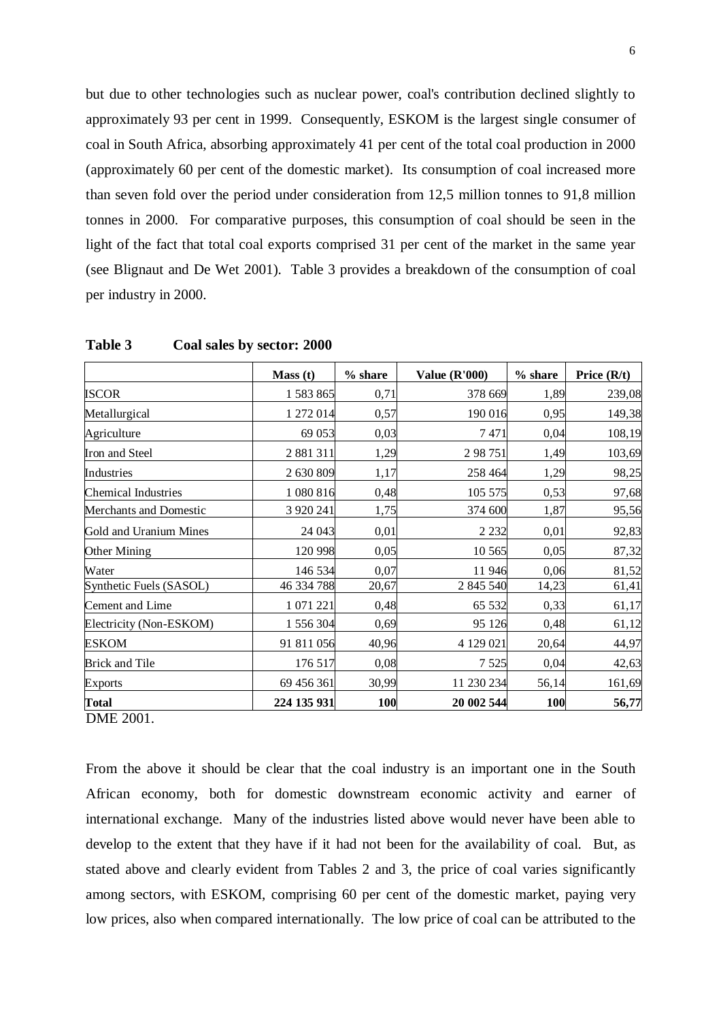but due to other technologies such as nuclear power, coal's contribution declined slightly to approximately 93 per cent in 1999. Consequently, ESKOM is the largest single consumer of coal in South Africa, absorbing approximately 41 per cent of the total coal production in 2000 (approximately 60 per cent of the domestic market). Its consumption of coal increased more than seven fold over the period under consideration from 12,5 million tonnes to 91,8 million tonnes in 2000. For comparative purposes, this consumption of coal should be seen in the light of the fact that total coal exports comprised 31 per cent of the market in the same year (see Blignaut and De Wet 2001). Table 3 provides a breakdown of the consumption of coal per industry in 2000.

|                               | Mass(t)     | $%$ share | <b>Value (R'000)</b> | % share | Price $(R/t)$ |
|-------------------------------|-------------|-----------|----------------------|---------|---------------|
| ISCOR                         | 1 583 865   | 0,71      | 378 669              | 1,89    | 239,08        |
| Metallurgical                 | 1 272 014   | 0,57      | 190 016              | 0,95    | 149,38        |
| Agriculture                   | 69 053      | 0,03      | 7471                 | 0,04    | 108,19        |
| Iron and Steel                | 2 881 311   | 1,29      | 298751               | 1,49    | 103,69        |
| Industries                    | 2 630 809   | 1,17      | 258 464              | 1,29    | 98,25         |
| <b>Chemical Industries</b>    | 1 080 816   | 0,48      | 105 575              | 0,53    | 97,68         |
| <b>Merchants and Domestic</b> | 3 9 20 24 1 | 1,75      | 374 600              | 1,87    | 95,56         |
| Gold and Uranium Mines        | 24 043      | 0,01      | 2 2 3 2              | 0,01    | 92,83         |
| Other Mining                  | 120 998     | 0,05      | 10 5 65              | 0,05    | 87,32         |
| Water                         | 146 534     | 0,07      | 11 946               | 0,06    | 81,52         |
| Synthetic Fuels (SASOL)       | 46 334 788  | 20,67     | 2 845 540            | 14,23   | 61,41         |
| Cement and Lime               | 1 071 221   | 0,48      | 65 532               | 0,33    | 61,17         |
| Electricity (Non-ESKOM)       | 1 556 304   | 0,69      | 95 126               | 0,48    | 61,12         |
| <b>ESKOM</b>                  | 91 811 056  | 40,96     | 4 129 021            | 20,64   | 44,97         |
| <b>Brick and Tile</b>         | 176 517     | 0,08      | 7 5 2 5              | 0,04    | 42,63         |
| <b>Exports</b>                | 69 456 361  | 30,99     | 11 230 234           | 56,14   | 161,69        |
| <b>Total</b>                  | 224 135 931 | 100       | 20 002 544           | 100     | 56,77         |

**Table 3 Coal sales by sector: 2000**

DME 2001.

From the above it should be clear that the coal industry is an important one in the South African economy, both for domestic downstream economic activity and earner of international exchange. Many of the industries listed above would never have been able to develop to the extent that they have if it had not been for the availability of coal. But, as stated above and clearly evident from Tables 2 and 3, the price of coal varies significantly among sectors, with ESKOM, comprising 60 per cent of the domestic market, paying very low prices, also when compared internationally. The low price of coal can be attributed to the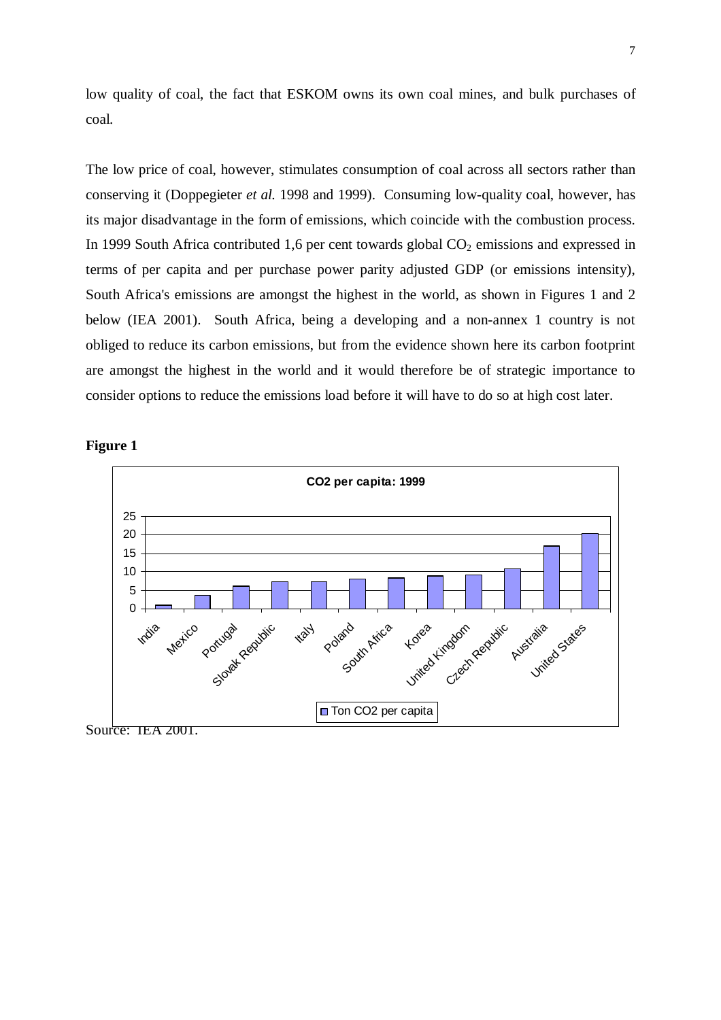low quality of coal, the fact that ESKOM owns its own coal mines, and bulk purchases of coal.

The low price of coal, however, stimulates consumption of coal across all sectors rather than conserving it (Doppegieter *et al.* 1998 and 1999). Consuming low-quality coal, however, has its major disadvantage in the form of emissions, which coincide with the combustion process. In 1999 South Africa contributed 1,6 per cent towards global  $CO<sub>2</sub>$  emissions and expressed in terms of per capita and per purchase power parity adjusted GDP (or emissions intensity), South Africa's emissions are amongst the highest in the world, as shown in Figures 1 and 2 below (IEA 2001). South Africa, being a developing and a non-annex 1 country is not obliged to reduce its carbon emissions, but from the evidence shown here its carbon footprint are amongst the highest in the world and it would therefore be of strategic importance to consider options to reduce the emissions load before it will have to do so at high cost later.





Source: IEA 2001.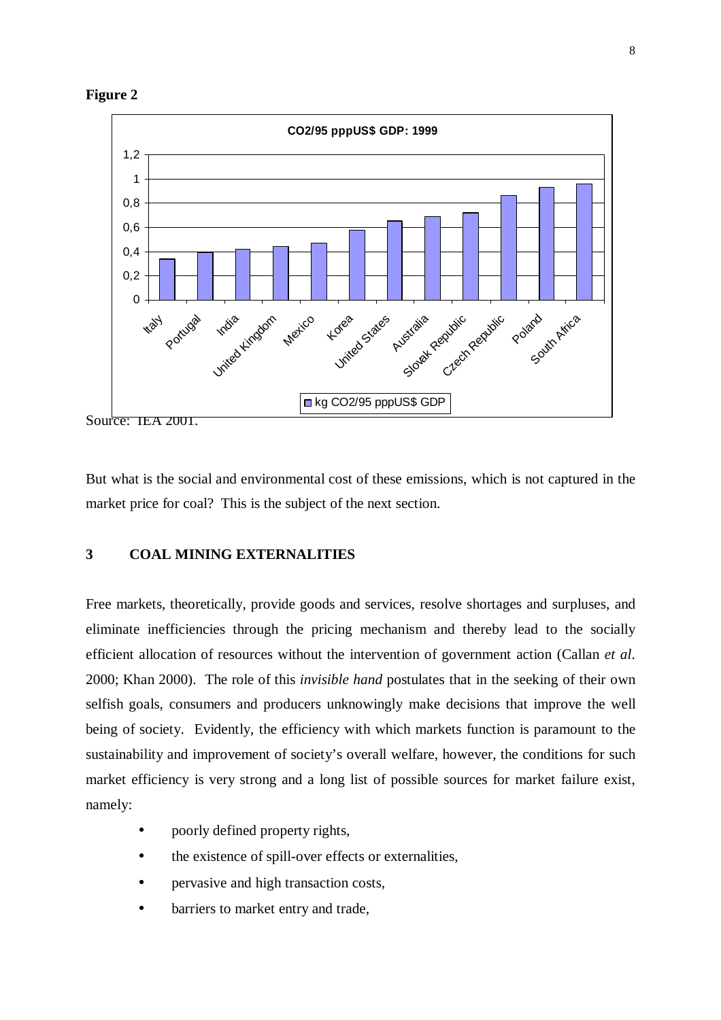



But what is the social and environmental cost of these emissions, which is not captured in the market price for coal? This is the subject of the next section.

## **3 COAL MINING EXTERNALITIES**

Free markets, theoretically, provide goods and services, resolve shortages and surpluses, and eliminate inefficiencies through the pricing mechanism and thereby lead to the socially efficient allocation of resources without the intervention of government action (Callan *et al*. 2000; Khan 2000). The role of this *invisible hand* postulates that in the seeking of their own selfish goals, consumers and producers unknowingly make decisions that improve the well being of society. Evidently, the efficiency with which markets function is paramount to the sustainability and improvement of society's overall welfare, however, the conditions for such market efficiency is very strong and a long list of possible sources for market failure exist, namely:

- poorly defined property rights,
- the existence of spill-over effects or externalities,
- pervasive and high transaction costs,
- barriers to market entry and trade,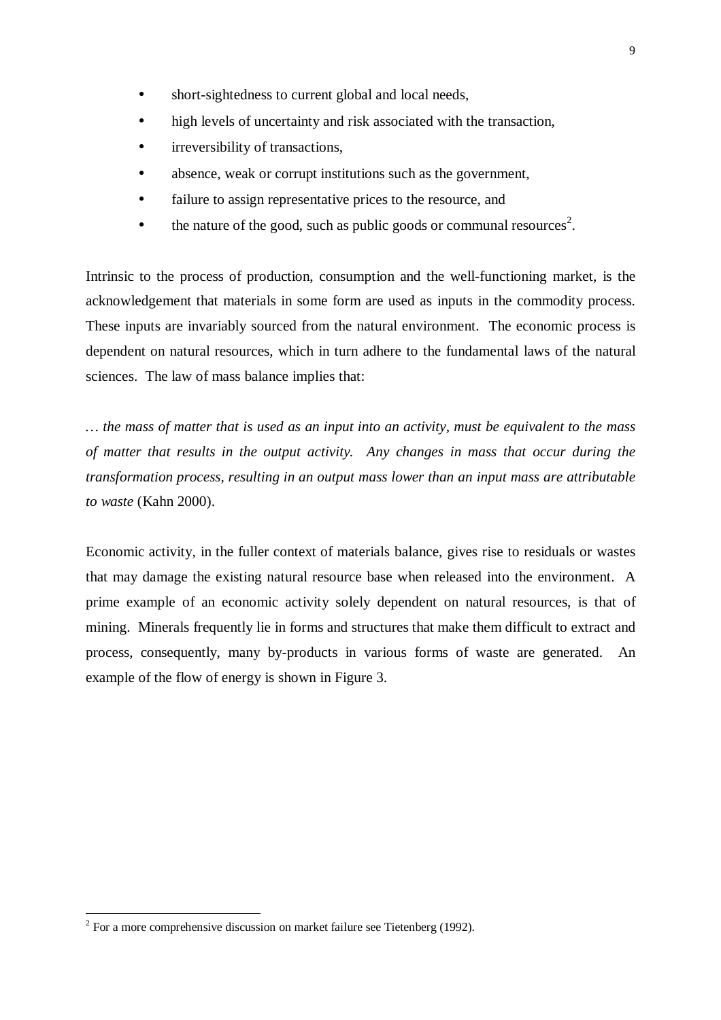- short-sightedness to current global and local needs,
- high levels of uncertainty and risk associated with the transaction,
- irreversibility of transactions,
- absence, weak or corrupt institutions such as the government,
- failure to assign representative prices to the resource, and
- $\bullet$  the nature of the good, such as public goods or communal resources<sup>2</sup>.

Intrinsic to the process of production, consumption and the well-functioning market, is the acknowledgement that materials in some form are used as inputs in the commodity process. These inputs are invariably sourced from the natural environment. The economic process is dependent on natural resources, which in turn adhere to the fundamental laws of the natural sciences. The law of mass balance implies that:

... the mass of matter that is used as an input into an activity, must be equivalent to the mass *of matter that results in the output activity. Any changes in mass that occur during the transformation process, resulting in an output mass lower than an input mass are attributable to waste* (Kahn 2000).

Economic activity, in the fuller context of materials balance, gives rise to residuals or wastes that may damage the existing natural resource base when released into the environment. A prime example of an economic activity solely dependent on natural resources, is that of mining. Minerals frequently lie in forms and structures that make them difficult to extract and process, consequently, many by-products in various forms of waste are generated. An example of the flow of energy is shown in Figure 3.

<sup>&</sup>lt;sup>2</sup> For a more comprehensive discussion on market failure see Tietenberg (1992).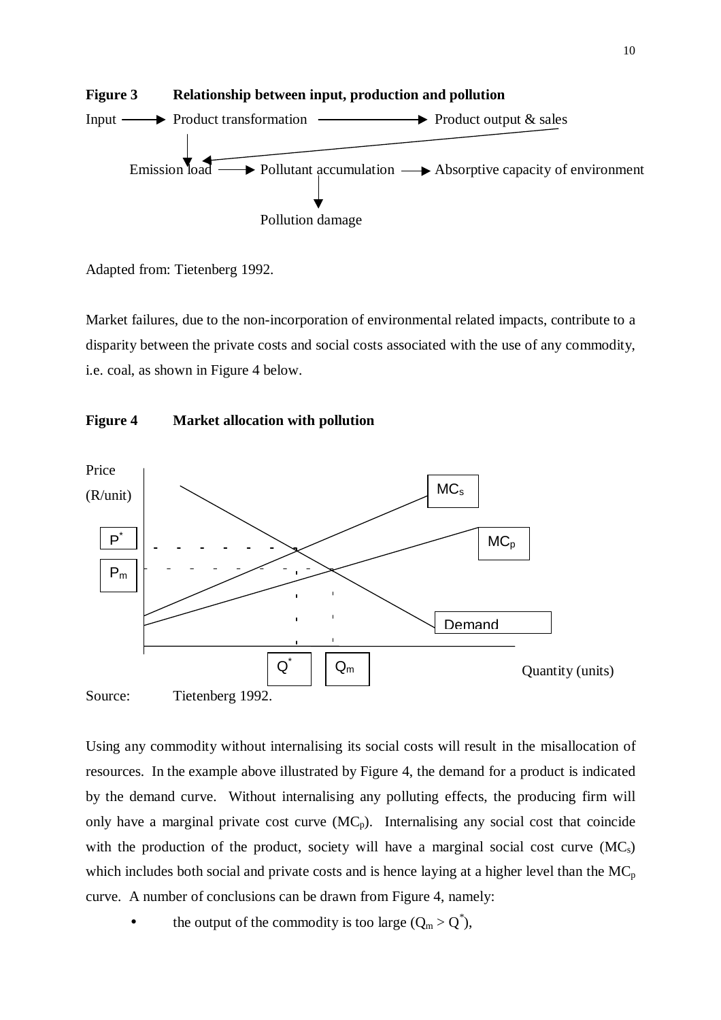

Adapted from: Tietenberg 1992.

Market failures, due to the non-incorporation of environmental related impacts, contribute to a disparity between the private costs and social costs associated with the use of any commodity, i.e. coal, as shown in Figure 4 below.





Using any commodity without internalising its social costs will result in the misallocation of resources. In the example above illustrated by Figure 4, the demand for a product is indicated by the demand curve. Without internalising any polluting effects, the producing firm will only have a marginal private cost curve  $(MC_p)$ . Internalising any social cost that coincide with the production of the product, society will have a marginal social cost curve  $(MC_s)$ which includes both social and private costs and is hence laying at a higher level than the  $MC_p$ curve. A number of conclusions can be drawn from Figure 4, namely:

• the output of the commodity is too large  $(Q_m > Q^*),$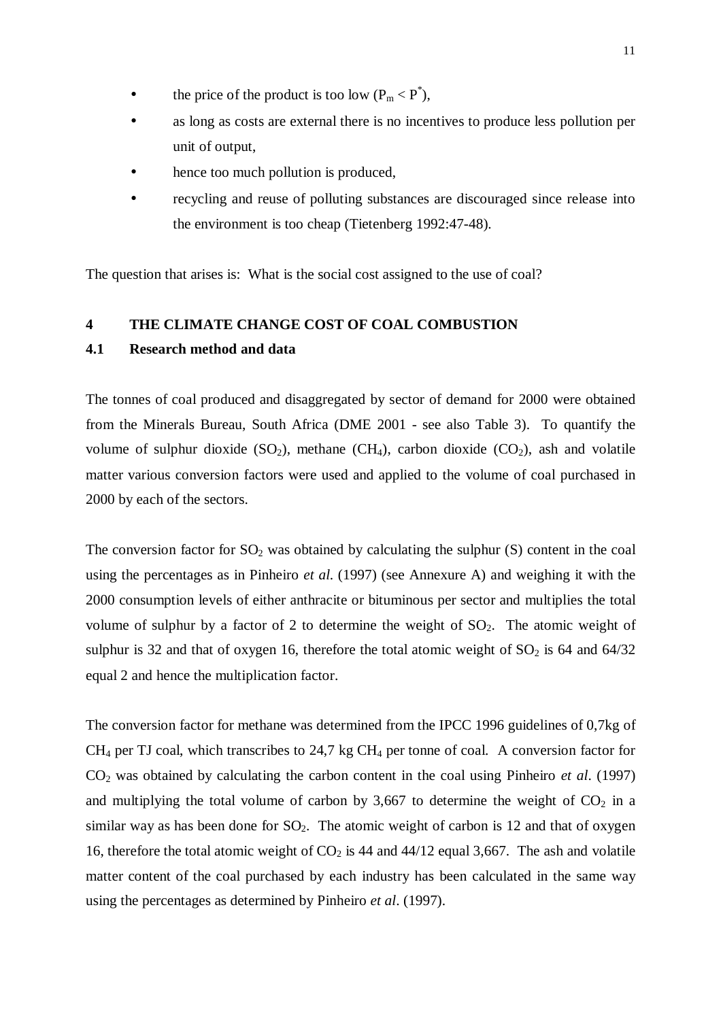- the price of the product is too low  $(P_m < P^*)$ ,
- as long as costs are external there is no incentives to produce less pollution per unit of output,
- hence too much pollution is produced,
- recycling and reuse of polluting substances are discouraged since release into the environment is too cheap (Tietenberg 1992:47-48).

The question that arises is: What is the social cost assigned to the use of coal?

## **4 THE CLIMATE CHANGE COST OF COAL COMBUSTION**

## **4.1 Research method and data**

The tonnes of coal produced and disaggregated by sector of demand for 2000 were obtained from the Minerals Bureau, South Africa (DME 2001 - see also Table 3). To quantify the volume of sulphur dioxide  $(SO_2)$ , methane  $(CH_4)$ , carbon dioxide  $(CO_2)$ , ash and volatile matter various conversion factors were used and applied to the volume of coal purchased in 2000 by each of the sectors.

The conversion factor for  $SO_2$  was obtained by calculating the sulphur  $(S)$  content in the coal using the percentages as in Pinheiro *et al*. (1997) (see Annexure A) and weighing it with the 2000 consumption levels of either anthracite or bituminous per sector and multiplies the total volume of sulphur by a factor of 2 to determine the weight of  $SO<sub>2</sub>$ . The atomic weight of sulphur is 32 and that of oxygen 16, therefore the total atomic weight of  $SO_2$  is 64 and 64/32 equal 2 and hence the multiplication factor.

The conversion factor for methane was determined from the IPCC 1996 guidelines of 0,7kg of  $CH_4$  per TJ coal, which transcribes to 24,7 kg  $CH_4$  per tonne of coal. A conversion factor for CO<sup>2</sup> was obtained by calculating the carbon content in the coal using Pinheiro *et al*. (1997) and multiplying the total volume of carbon by 3,667 to determine the weight of  $CO<sub>2</sub>$  in a similar way as has been done for  $SO_2$ . The atomic weight of carbon is 12 and that of oxygen 16, therefore the total atomic weight of  $CO<sub>2</sub>$  is 44 and 44/12 equal 3,667. The ash and volatile matter content of the coal purchased by each industry has been calculated in the same way using the percentages as determined by Pinheiro *et al*. (1997).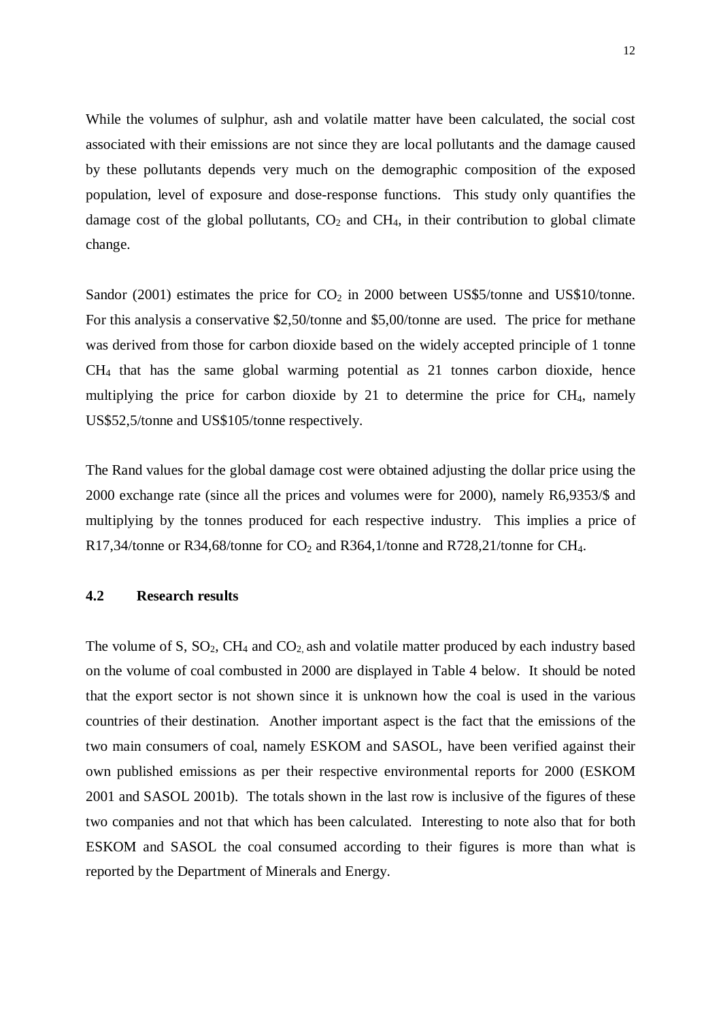While the volumes of sulphur, ash and volatile matter have been calculated, the social cost associated with their emissions are not since they are local pollutants and the damage caused by these pollutants depends very much on the demographic composition of the exposed population, level of exposure and dose-response functions. This study only quantifies the damage cost of the global pollutants,  $CO<sub>2</sub>$  and  $CH<sub>4</sub>$ , in their contribution to global climate change.

Sandor (2001) estimates the price for  $CO<sub>2</sub>$  in 2000 between US\$5/tonne and US\$10/tonne. For this analysis a conservative \$2,50/tonne and \$5,00/tonne are used. The price for methane was derived from those for carbon dioxide based on the widely accepted principle of 1 tonne CH<sup>4</sup> that has the same global warming potential as 21 tonnes carbon dioxide, hence multiplying the price for carbon dioxide by 21 to determine the price for  $CH<sub>4</sub>$ , namely US\$52,5/tonne and US\$105/tonne respectively.

The Rand values for the global damage cost were obtained adjusting the dollar price using the 2000 exchange rate (since all the prices and volumes were for 2000), namely R6,9353/\$ and multiplying by the tonnes produced for each respective industry. This implies a price of R17,34/tonne or R34,68/tonne for  $CO_2$  and R364,1/tonne and R728,21/tonne for CH<sub>4</sub>.

### **4.2 Research results**

The volume of S,  $SO_2$ ,  $CH_4$  and  $CO_2$  ash and volatile matter produced by each industry based on the volume of coal combusted in 2000 are displayed in Table 4 below. It should be noted that the export sector is not shown since it is unknown how the coal is used in the various countries of their destination. Another important aspect is the fact that the emissions of the two main consumers of coal, namely ESKOM and SASOL, have been verified against their own published emissions as per their respective environmental reports for 2000 (ESKOM 2001 and SASOL 2001b). The totals shown in the last row is inclusive of the figures of these two companies and not that which has been calculated. Interesting to note also that for both ESKOM and SASOL the coal consumed according to their figures is more than what is reported by the Department of Minerals and Energy.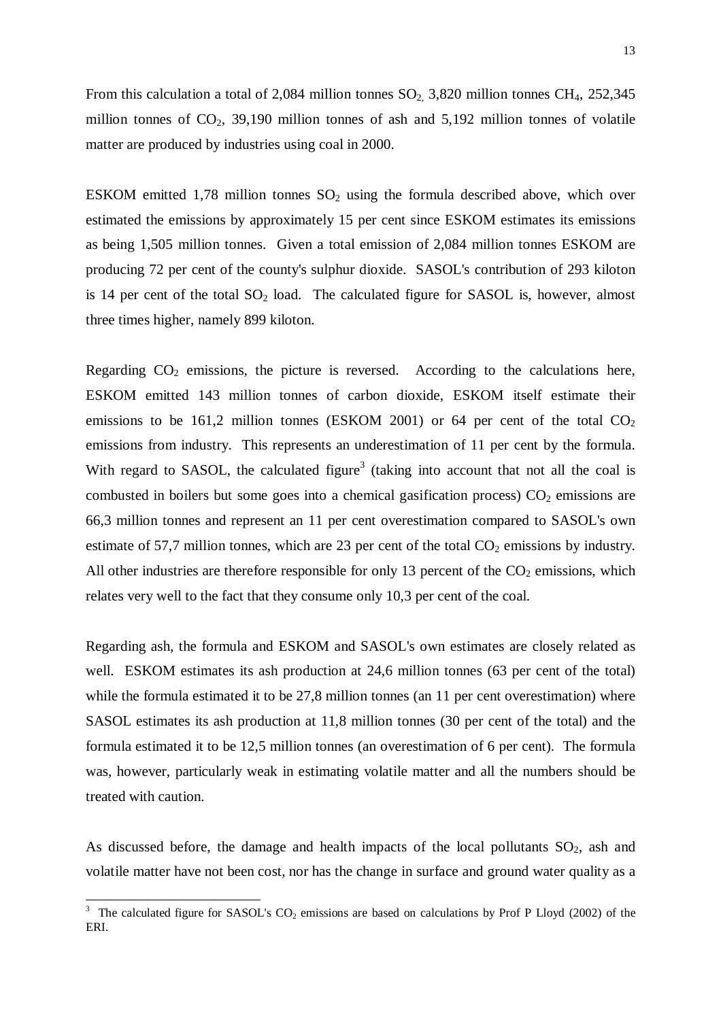From this calculation a total of 2,084 million tonnes  $SO_2$ , 3,820 million tonnes CH<sub>4</sub>, 252,345 million tonnes of  $CO<sub>2</sub>$ , 39,190 million tonnes of ash and 5,192 million tonnes of volatile matter are produced by industries using coal in 2000.

ESKOM emitted 1,78 million tonnes  $SO_2$  using the formula described above, which over estimated the emissions by approximately 15 per cent since ESKOM estimates its emissions as being 1,505 million tonnes. Given a total emission of 2,084 million tonnes ESKOM are producing 72 per cent of the county's sulphur dioxide. SASOL's contribution of 293 kiloton is 14 per cent of the total  $SO_2$  load. The calculated figure for SASOL is, however, almost three times higher, namely 899 kiloton.

Regarding  $CO<sub>2</sub>$  emissions, the picture is reversed. According to the calculations here, ESKOM emitted 143 million tonnes of carbon dioxide, ESKOM itself estimate their emissions to be 161,2 million tonnes (ESKOM 2001) or 64 per cent of the total  $CO<sub>2</sub>$ emissions from industry. This represents an underestimation of 11 per cent by the formula. With regard to SASOL, the calculated figure<sup>3</sup> (taking into account that not all the coal is combusted in boilers but some goes into a chemical gasification process)  $CO<sub>2</sub>$  emissions are 66,3 million tonnes and represent an 11 per cent overestimation compared to SASOL's own estimate of 57,7 million tonnes, which are 23 per cent of the total  $CO<sub>2</sub>$  emissions by industry. All other industries are therefore responsible for only 13 percent of the  $CO<sub>2</sub>$  emissions, which relates very well to the fact that they consume only 10,3 per cent of the coal.

Regarding ash, the formula and ESKOM and SASOL's own estimates are closely related as well. ESKOM estimates its ash production at 24,6 million tonnes (63 per cent of the total) while the formula estimated it to be 27,8 million tonnes (an 11 per cent overestimation) where SASOL estimates its ash production at 11,8 million tonnes (30 per cent of the total) and the formula estimated it to be 12,5 million tonnes (an overestimation of 6 per cent). The formula was, however, particularly weak in estimating volatile matter and all the numbers should be treated with caution.

As discussed before, the damage and health impacts of the local pollutants  $SO_2$ , ash and volatile matter have not been cost, nor has the change in surface and ground water quality as a

l

 $3$  The calculated figure for SASOL's CO<sub>2</sub> emissions are based on calculations by Prof P Lloyd (2002) of the ERI.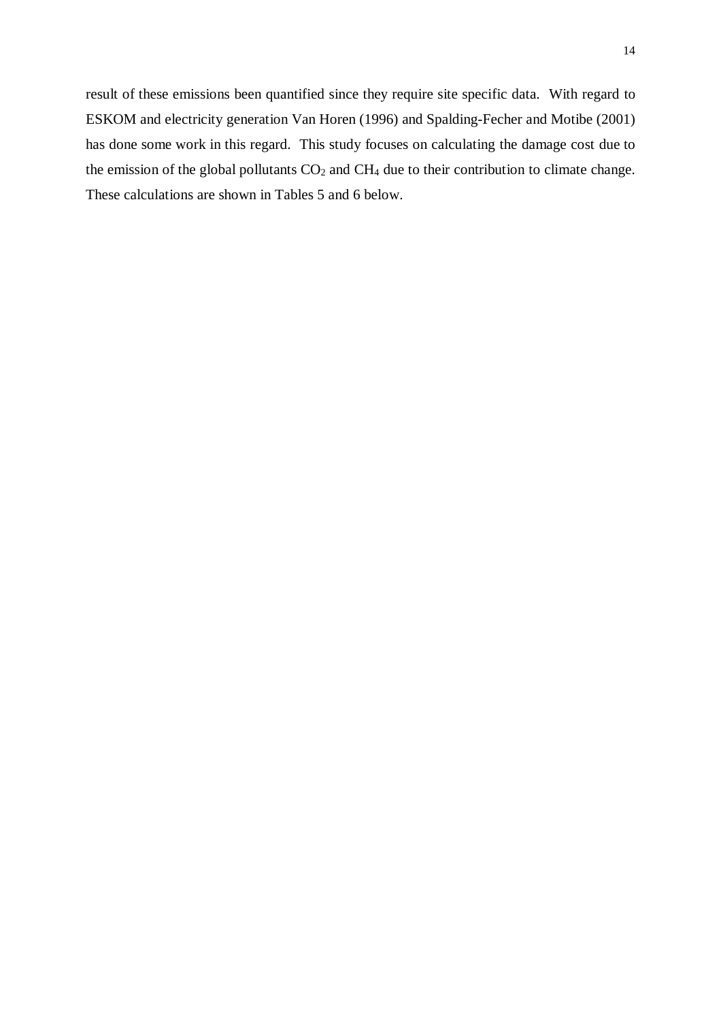result of these emissions been quantified since they require site specific data. With regard to ESKOM and electricity generation Van Horen (1996) and Spalding-Fecher and Motibe (2001) has done some work in this regard. This study focuses on calculating the damage cost due to the emission of the global pollutants  $CO<sub>2</sub>$  and  $CH<sub>4</sub>$  due to their contribution to climate change. These calculations are shown in Tables 5 and 6 below.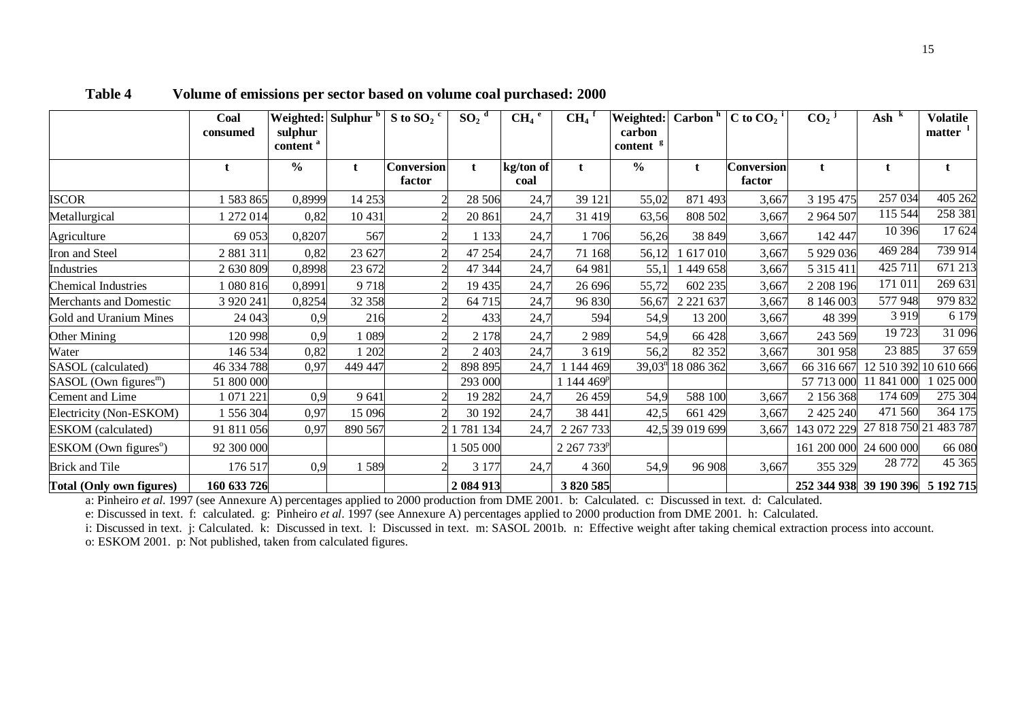|                                     | Coal<br>consumed | sulphur<br>content <sup>a</sup> | Weighted: Sulphur b | S to SO <sub>2</sub> $\degree$ | $SO_2$ <sup>d</sup> | $CH_4$ <sup>e</sup> | $CH4$ <sup>1</sup>     | Weighted:<br>carbon<br>content <sup>g</sup> | Carbon <sup>h</sup> | C to $CO_2$ <sup>i</sup>    | $CO2$ <sup>j</sup>               | $\mathbf{A}$ sh $\mathrm{K}$ | <b>Volatile</b><br>matter <sup>1</sup> |
|-------------------------------------|------------------|---------------------------------|---------------------|--------------------------------|---------------------|---------------------|------------------------|---------------------------------------------|---------------------|-----------------------------|----------------------------------|------------------------------|----------------------------------------|
|                                     |                  | $\frac{0}{0}$                   | t                   | Conversion<br>factor           | $\mathbf t$         | kg/ton of<br>coal   |                        | $\frac{0}{6}$                               | t                   | <b>Conversion</b><br>factor |                                  |                              |                                        |
| <b>ISCOR</b>                        | 1 583 865        | 0,8999                          | 14 253              |                                | 28 506              | 24,7                | 39 121                 | 55,02                                       | 871 493             | 3,667                       | 3 195 475                        | 257 034                      | 405 262                                |
| Metallurgical                       | 1 272 014        | 0,82                            | 10 431              |                                | 20 861              | 24,7                | 31 419                 | 63,56                                       | 808 502             | 3,667                       | 2 964 507                        | 115 544                      | 258 381                                |
| Agriculture                         | 69 053           | 0,8207                          | 567                 |                                | 1 1 3 3             | 24,7                | 1706                   | 56,26                                       | 38 849              | 3,667                       | 142 447                          | 10 39 6                      | 17 624                                 |
| Iron and Steel                      | 2 881 311        | 0,82                            | 23 627              |                                | 47 254              | 24,7                | 71 168                 | 56,12                                       | 617010              | 3,667                       | 5 929 036                        | 469 284                      | 739 914                                |
| Industries                          | 2 630 809        | 0,8998                          | 23 672              |                                | 47 344              | 24,7                | 64 981                 | 55,1                                        | 449 658             | 3,667                       | 5 3 1 5 4 1 1                    | 425 711                      | 671 213                                |
| <b>Chemical Industries</b>          | 080816           | 0,8991                          | 9718                |                                | 19 435              | 24,7                | 26 696                 | 55,72                                       | 602 235             | 3,667                       | 2 208 196                        | 171 011                      | 269 631                                |
| Merchants and Domestic              | 3 9 20 24 1      | 0,8254                          | 32 358              |                                | 64 715              | 24,7                | 96 830                 | 56,67                                       | 2 2 2 1 6 3 7       | 3,667                       | 8 146 003                        | 577 948                      | 979 832                                |
| Gold and Uranium Mines              | 24 043           | 0,9                             | 216                 |                                | 433                 | 24,7                | 594                    | 54,9                                        | 13 200              | 3,667                       | 48 399                           | 3 9 1 9                      | 6 1 7 9                                |
| <b>Other Mining</b>                 | 120 998          | 0,9                             | 1089                |                                | 2 1 7 8             | 24,7                | 2989                   | 54,9                                        | 66 428              | 3,667                       | 243 569                          | 19723                        | 31 096                                 |
| Water                               | 146 534          | 0,82                            | 1 202               |                                | 2 4 0 3             | 24,7                | 3 6 1 9                | 56,2                                        | 82 352              | 3,667                       | 301 958                          | 23 885                       | 37 659                                 |
| SASOL (calculated)                  | 46 334 788       | 0,97                            | 449 447             |                                | 898 895             | 24,7                | 1 144 469              | $39,03^n$                                   | 18 086 362          | 3,667                       | 66 316 667                       | 12 510 392                   | 10 610 666                             |
| $SASOL$ (Own figures <sup>m</sup> ) | 51 800 000       |                                 |                     |                                | 293 000             |                     | $1144.469^p$           |                                             |                     |                             | 57 713 000                       | 11 841 000                   | 1 025 000                              |
| Cement and Lime                     | 1 071 221        | 0,9                             | 9 6 4 1             |                                | 19 282              | 24,7                | 26 459                 | 54,9                                        | 588 100             | 3,667                       | 2 156 368                        | 174 609                      | 275 304                                |
| Electricity (Non-ESKOM)             | 1 556 304        | 0,97                            | 15 0 96             |                                | 30 192              | 24,7                | 38 441                 | 42,5                                        | 661 429             | 3,667                       | 2 4 2 5 2 4 0                    | 471 560                      | 364 175                                |
| <b>ESKOM</b> (calculated)           | 91 811 056       | 0,97                            | 890 567             |                                | 781 134             | 24,7                | 2 2 6 7 7 3 3          | 42,5                                        | 39 019 699          | 3,667                       | 143 072 229                      | 27 818 750 21                | 483 787                                |
| $ESKOM$ (Own figures <sup>o</sup> ) | 92 300 000       |                                 |                     |                                | 505 000             |                     | 2 267 733 <sup>p</sup> |                                             |                     |                             | 161 200 000                      | 24 600 000                   | 66 080                                 |
| <b>Brick and Tile</b>               | 176 517          | 0,9                             | 1589                |                                | 3 1 7 7             | 24,7                | 4 3 6 0                | 54,9                                        | 96 908              | 3,667                       | 355 329                          | 28 772                       | 45 365                                 |
| Total (Only own figures)            | 160 633 726      |                                 |                     |                                | 2 084 913           |                     | 3 820 585              |                                             |                     |                             | 252 344 938 39 190 396 5 192 715 |                              |                                        |

**Table 4 Volume of emissions per sector based on volume coal purchased: 2000**

a: Pinheiro *et al*. 1997 (see Annexure A) percentages applied to 2000 production from DME 2001. b: Calculated. c: Discussed in text. d: Calculated.

e: Discussed in text. f: calculated. g: Pinheiro *et al*. 1997 (see Annexure A) percentages applied to 2000 production from DME 2001. h: Calculated.

i: Discussed in text. j: Calculated. k: Discussed in text. l: Discussed in text. m: SASOL 2001b. n: Effective weight after taking chemical extraction process into account. o: ESKOM 2001. p: Not published, taken from calculated figures.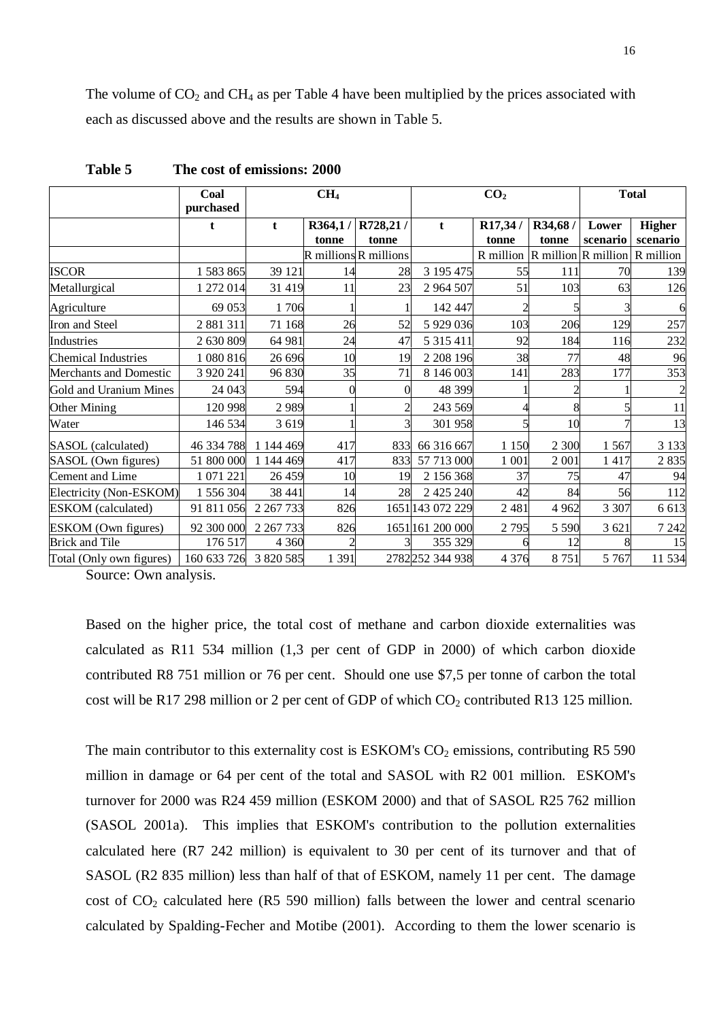The volume of  $CO<sub>2</sub>$  and  $CH<sub>4</sub>$  as per Table 4 have been multiplied by the prices associated with each as discussed above and the results are shown in Table 5.

|                            | Coal<br>purchased | CH <sub>4</sub> |                  |                                     |                  | CO <sub>2</sub>                               | <b>Total</b>     |                   |                           |
|----------------------------|-------------------|-----------------|------------------|-------------------------------------|------------------|-----------------------------------------------|------------------|-------------------|---------------------------|
|                            | t                 | t               | R364,1/<br>tonne | R728,21/<br>tonne                   | t                | R17,34/<br>tonne                              | R34,68/<br>tonne | Lower<br>scenario | <b>Higher</b><br>scenario |
|                            |                   |                 |                  | <b>R</b> millions <b>R</b> millions |                  | R million $R$ million $R$ million $R$ million |                  |                   |                           |
| <b>ISCOR</b>               | 1 583 865         | 39 121          | 14               | 28                                  | 3 195 475        | 55                                            | 111              | 70                | 139                       |
| Metallurgical              | 1 272 014         | 31 419          | 11               | 23                                  | 2 964 507        | 51                                            | 103              | 63                | 126                       |
| Agriculture                | 69 053            | 1706            |                  |                                     | 142 447          |                                               |                  |                   | 6                         |
| Iron and Steel             | 2 881 311         | 71 168          | 26               | 52                                  | 5 9 29 0 36      | 103                                           | 206              | 129               | 257                       |
| Industries                 | 2 630 809         | 64 981          | 24               | 47                                  | 5 3 1 5 4 1 1    | 92                                            | 184              | 116               | 232                       |
| <b>Chemical Industries</b> | 1080816           | 26 696          | 10               | 19                                  | 2 208 196        | 38                                            | 77               | 48                | 96                        |
| Merchants and Domestic     | 3 9 20 24 1       | 96 830          | 35               | 71                                  | 8 146 003        | 141                                           | 283              | 177               | 353                       |
| Gold and Uranium Mines     | 24 043            | 594             | 0                | 0                                   | 48 399           |                                               |                  |                   |                           |
| Other Mining               | 120 998           | 2989            |                  | 2                                   | 243 569          |                                               |                  |                   | 11                        |
| Water                      | 146 534           | 3619            |                  | 3                                   | 301 958          |                                               | 10               |                   | 13                        |
| SASOL (calculated)         | 46 334 788        | 1 144 469       | 417              | 833                                 | 66 316 667       | 1 1 5 0                                       | 2 300            | 1567              | 3 1 3 3                   |
| SASOL (Own figures)        | 51 800 000        | 1 144 469       | 417              | 833                                 | 57 713 000       | 1 0 0 1                                       | 2 0 0 1          | 1 4 1 7           | 2835                      |
| Cement and Lime            | 1 071 221         | 26 459          | 10               | 19                                  | 2 156 368        | 37                                            | 75               | 47                | 94                        |
| Electricity (Non-ESKOM)    | 1 556 304         | 38 441          | 14               | 28                                  | 2 425 240        | 42                                            | 84               | 56                | 112                       |
| <b>ESKOM</b> (calculated)  | 91 811 056        | 2 2 6 7 7 3 3   | 826              |                                     | 1651 143 072 229 | 2 4 8 1                                       | 4 9 6 2          | 3 3 0 7           | 6 613                     |
| ESKOM (Own figures)        | 92 300 000        | 2 2 6 7 7 3 3   | 826              |                                     | 1651 161 200 000 | 2 7 9 5                                       | 5 5 9 0          | 3 621             | 7 2 4 2                   |
| <b>Brick and Tile</b>      | 176 517           | 4 3 6 0         |                  |                                     | 355 329          |                                               | 12               |                   | 15                        |
| Total (Only own figures)   | 160 633 726       | 3 820 585       | 1 3 9 1          |                                     | 2782252 344 938  | 4 3 7 6                                       | 8751             | 5 7 6 7           | 11 534                    |

**Table 5 The cost of emissions: 2000**

Source: Own analysis.

Based on the higher price, the total cost of methane and carbon dioxide externalities was calculated as R11 534 million (1,3 per cent of GDP in 2000) of which carbon dioxide contributed R8 751 million or 76 per cent. Should one use \$7,5 per tonne of carbon the total cost will be R17 298 million or 2 per cent of GDP of which  $CO_2$  contributed R13 125 million.

The main contributor to this externality cost is  $ESKOM's CO<sub>2</sub>$  emissions, contributing R5 590 million in damage or 64 per cent of the total and SASOL with R2 001 million. ESKOM's turnover for 2000 was R24 459 million (ESKOM 2000) and that of SASOL R25 762 million (SASOL 2001a). This implies that ESKOM's contribution to the pollution externalities calculated here (R7 242 million) is equivalent to 30 per cent of its turnover and that of SASOL (R2 835 million) less than half of that of ESKOM, namely 11 per cent. The damage cost of  $CO<sub>2</sub>$  calculated here (R5 590 million) falls between the lower and central scenario calculated by Spalding-Fecher and Motibe (2001). According to them the lower scenario is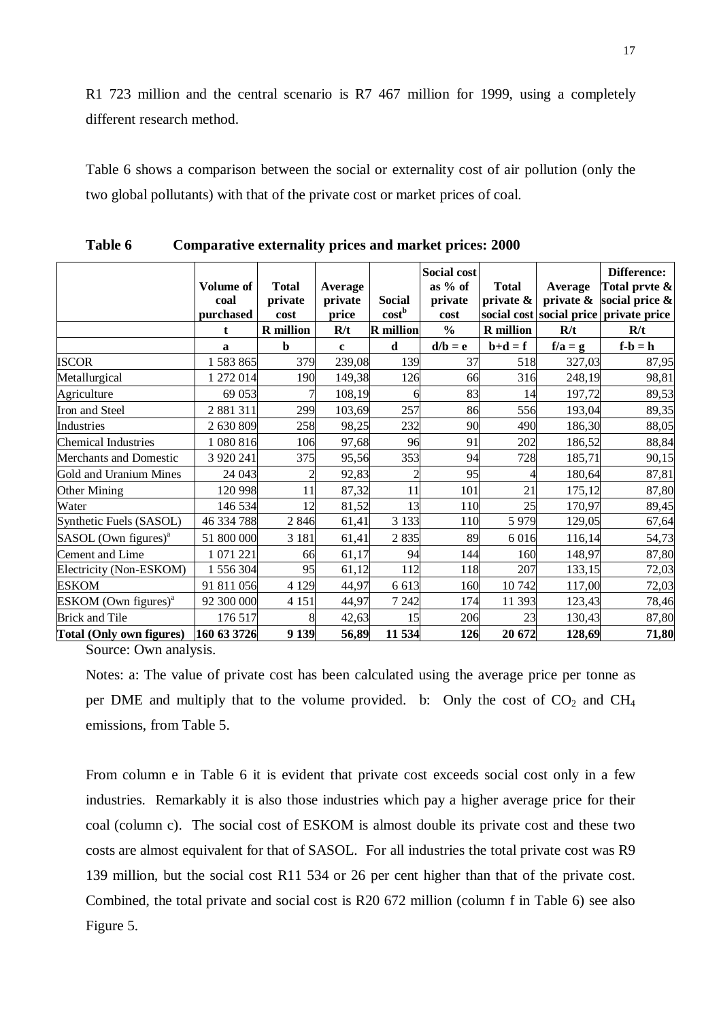R1 723 million and the central scenario is R7 467 million for 1999, using a completely different research method.

Table 6 shows a comparison between the social or externality cost of air pollution (only the two global pollutants) with that of the private cost or market prices of coal.

|                                    | Volume of<br>coal<br>purchased | <b>Total</b><br>private<br>cost | Average<br>private<br>price | <b>Social</b><br>cost <sup>b</sup> | <b>Social cost</b><br>as $%$ of<br>private<br>cost | <b>Total</b><br>private $\&$           | Average<br>private & | Difference:<br>Total prvte &<br>social price $\&$<br>social cost social price private price |
|------------------------------------|--------------------------------|---------------------------------|-----------------------------|------------------------------------|----------------------------------------------------|----------------------------------------|----------------------|---------------------------------------------------------------------------------------------|
|                                    | t                              | <b>R</b> million                | R/t                         | <b>R</b> million                   | $\frac{0}{0}$                                      | <b>R</b> million                       | R/t                  | R/t                                                                                         |
|                                    | a                              | $\mathbf b$                     | $\mathbf c$                 | d                                  | $d/b = e$                                          | $\mathbf{b} + \mathbf{d} = \mathbf{f}$ | $f/a = g$            | $f-b = h$                                                                                   |
| <b>ISCOR</b>                       | 1 583 865                      | 379                             | 239,08                      | 139                                | 37                                                 | 518                                    | 327,03               | 87,95                                                                                       |
| Metallurgical                      | 1 272 014                      | 190                             | 149,38                      | 126                                | 66                                                 | 316                                    | 248,19               | 98,81                                                                                       |
| Agriculture                        | 69 053                         |                                 | 108,19                      | 6                                  | 83                                                 | 14                                     | 197,72               | 89,53                                                                                       |
| Iron and Steel                     | 2 881 311                      | 299                             | 103,69                      | 257                                | 86                                                 | 556                                    | 193,04               | 89,35                                                                                       |
| Industries                         | 2 630 809                      | 258                             | 98,25                       | 232                                | 90                                                 | 490                                    | 186,30               | 88,05                                                                                       |
| <b>Chemical Industries</b>         | 1080816                        | 106                             | 97,68                       | 96                                 | 91                                                 | 202                                    | 186,52               | 88,84                                                                                       |
| Merchants and Domestic             | 3 9 20 24 1                    | 375                             | 95,56                       | 353                                | 94                                                 | 728                                    | 185,71               | 90,15                                                                                       |
| Gold and Uranium Mines             | 24 043                         |                                 | 92,83                       | $\overline{2}$                     | 95                                                 | 4                                      | 180,64               | 87,81                                                                                       |
| Other Mining                       | 120 998                        | 11                              | 87,32                       | 11                                 | 101                                                | 21                                     | 175,12               | 87,80                                                                                       |
| Water                              | 146 534                        | 12                              | 81,52                       | 13                                 | 110                                                | 25                                     | 170,97               | 89,45                                                                                       |
| Synthetic Fuels (SASOL)            | 46 334 788                     | 2846                            | 61,41                       | 3 1 3 3                            | 110                                                | 5 9 7 9                                | 129,05               | 67,64                                                                                       |
| $SASOL$ (Own figures) <sup>a</sup> | 51 800 000                     | 3 1 8 1                         | 61,41                       | 2835                               | 89                                                 | 6 0 1 6                                | 116,14               | 54,73                                                                                       |
| Cement and Lime                    | 1 071 221                      | 66                              | 61,17                       | 94                                 | 144                                                | 160                                    | 148,97               | 87,80                                                                                       |
| Electricity (Non-ESKOM)            | 1 556 304                      | 95                              | 61,12                       | 112                                | 118                                                | 207                                    | 133,15               | 72,03                                                                                       |
| <b>ESKOM</b>                       | 91 811 056                     | 4 1 2 9                         | 44,97                       | 6 613                              | 160                                                | 10742                                  | 117,00               | 72,03                                                                                       |
| $ESKOM$ (Own figures) <sup>a</sup> | 92 300 000                     | 4 1 5 1                         | 44,97                       | 7 2 4 2                            | 174                                                | 11 393                                 | 123,43               | 78,46                                                                                       |
| <b>Brick and Tile</b>              | 176 517                        | 8                               | 42,63                       | 15                                 | 206                                                | 23                                     | 130,43               | 87,80                                                                                       |
| <b>Total (Only own figures)</b>    | 160 63 3726                    | 9 1 3 9                         | 56,89                       | 11 534                             | 126                                                | 20 672                                 | 128,69               | 71,80                                                                                       |

**Table 6 Comparative externality prices and market prices: 2000**

Source: Own analysis.

Notes: a: The value of private cost has been calculated using the average price per tonne as per DME and multiply that to the volume provided. b: Only the cost of  $CO<sub>2</sub>$  and  $CH<sub>4</sub>$ emissions, from Table 5.

From column e in Table 6 it is evident that private cost exceeds social cost only in a few industries. Remarkably it is also those industries which pay a higher average price for their coal (column c). The social cost of ESKOM is almost double its private cost and these two costs are almost equivalent for that of SASOL. For all industries the total private cost was R9 139 million, but the social cost R11 534 or 26 per cent higher than that of the private cost. Combined, the total private and social cost is R20 672 million (column f in Table 6) see also Figure 5.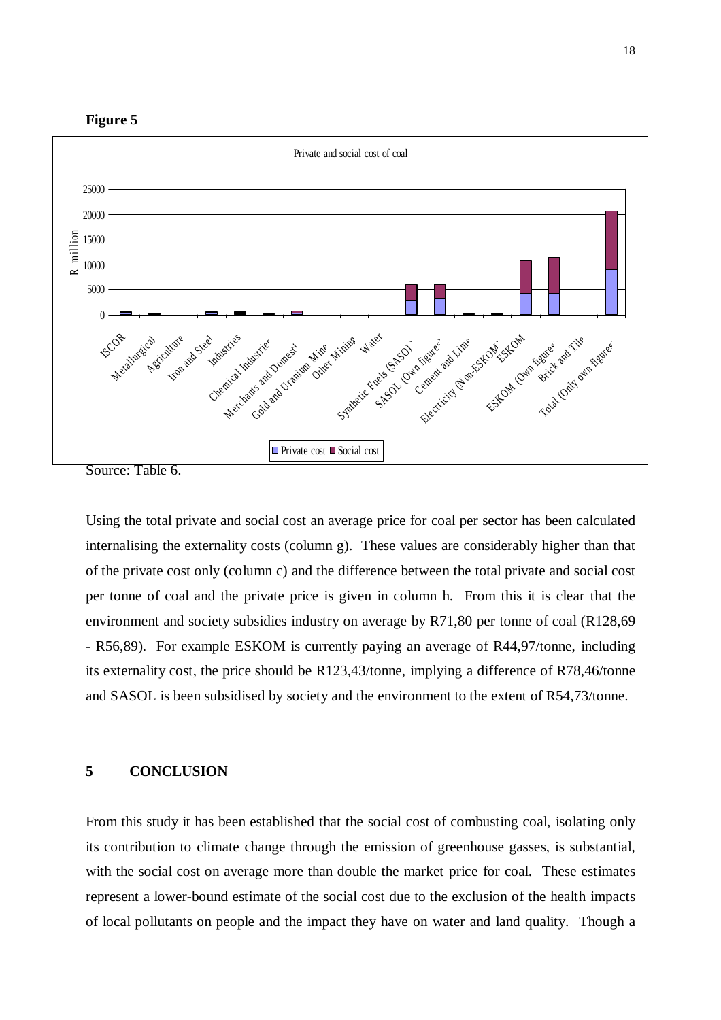



Source: Table 6.

Using the total private and social cost an average price for coal per sector has been calculated internalising the externality costs (column g). These values are considerably higher than that of the private cost only (column c) and the difference between the total private and social cost per tonne of coal and the private price is given in column h. From this it is clear that the environment and society subsidies industry on average by R71,80 per tonne of coal (R128,69 - R56,89). For example ESKOM is currently paying an average of R44,97/tonne, including its externality cost, the price should be R123,43/tonne, implying a difference of R78,46/tonne and SASOL is been subsidised by society and the environment to the extent of R54,73/tonne.

## **5 CONCLUSION**

From this study it has been established that the social cost of combusting coal, isolating only its contribution to climate change through the emission of greenhouse gasses, is substantial, with the social cost on average more than double the market price for coal. These estimates represent a lower-bound estimate of the social cost due to the exclusion of the health impacts of local pollutants on people and the impact they have on water and land quality. Though a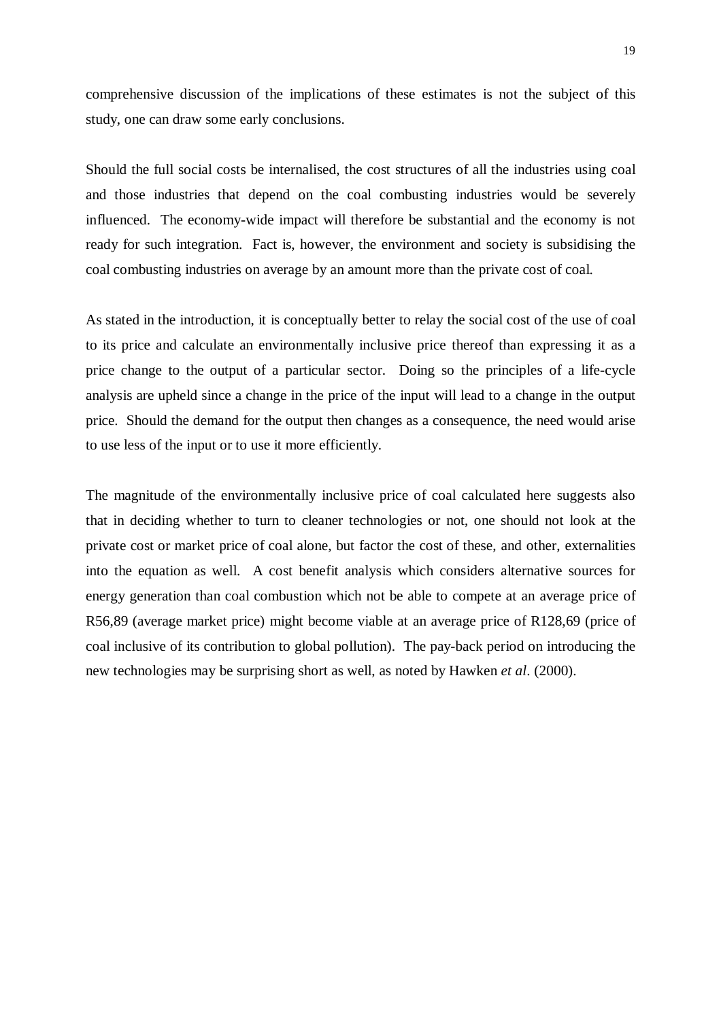comprehensive discussion of the implications of these estimates is not the subject of this study, one can draw some early conclusions.

Should the full social costs be internalised, the cost structures of all the industries using coal and those industries that depend on the coal combusting industries would be severely influenced. The economy-wide impact will therefore be substantial and the economy is not ready for such integration. Fact is, however, the environment and society is subsidising the coal combusting industries on average by an amount more than the private cost of coal.

As stated in the introduction, it is conceptually better to relay the social cost of the use of coal to its price and calculate an environmentally inclusive price thereof than expressing it as a price change to the output of a particular sector. Doing so the principles of a life-cycle analysis are upheld since a change in the price of the input will lead to a change in the output price. Should the demand for the output then changes as a consequence, the need would arise to use less of the input or to use it more efficiently.

The magnitude of the environmentally inclusive price of coal calculated here suggests also that in deciding whether to turn to cleaner technologies or not, one should not look at the private cost or market price of coal alone, but factor the cost of these, and other, externalities into the equation as well. A cost benefit analysis which considers alternative sources for energy generation than coal combustion which not be able to compete at an average price of R56,89 (average market price) might become viable at an average price of R128,69 (price of coal inclusive of its contribution to global pollution). The pay-back period on introducing the new technologies may be surprising short as well, as noted by Hawken *et al*. (2000).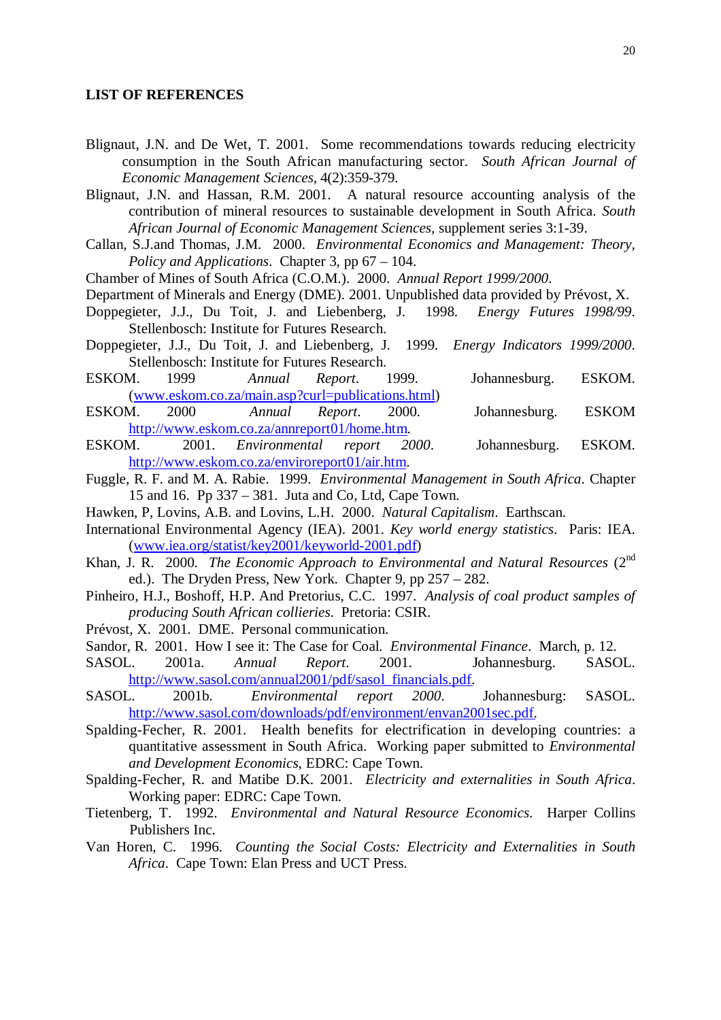#### **LIST OF REFERENCES**

- Blignaut, J.N. and De Wet, T. 2001. Some recommendations towards reducing electricity consumption in the South African manufacturing sector. *South African Journal of Economic Management Sciences,* 4(2):359-379.
- Blignaut, J.N. and Hassan, R.M. 2001. A natural resource accounting analysis of the contribution of mineral resources to sustainable development in South Africa. *South African Journal of Economic Management Sciences,* supplement series 3:1-39.
- Callan, S.J.and Thomas, J.M. 2000. *Environmental Economics and Management: Theory, Policy and Applications*. Chapter 3, pp 67 – 104.
- Chamber of Mines of South Africa (C.O.M.). 2000. *Annual Report 1999/2000*.
- Department of Minerals and Energy (DME). 2001. Unpublished data provided by Prévost, X.
- Doppegieter, J.J., Du Toit, J. and Liebenberg, J. 1998. *Energy Futures 1998/99*. Stellenbosch: Institute for Futures Research.
- Doppegieter, J.J., Du Toit, J. and Liebenberg, J. 1999. *Energy Indicators 1999/2000*. Stellenbosch: Institute for Futures Research.
- ESKOM. 1999 *Annual Report*. 1999. Johannesburg. ESKOM. [\(www.eskom.co.za/main.asp?curl=publications.html](http://www.eskom.co.za/main.asp?curl=publications.html))
- ESKOM. 2000 *Annual Report*. 2000. Johannesburg. ESKOM <http://www.eskom.co.za/annreport01/home.htm>.
- ESKOM. 2001. *Environmental report 2000*. Johannesburg. ESKOM. <http://www.eskom.co.za/enviroreport01/air.htm>.
- Fuggle, R. F. and M. A. Rabie. 1999. *Environmental Management in South Africa*. Chapter 15 and 16. Pp 337 – 381. Juta and Co, Ltd, Cape Town.
- Hawken, P, Lovins, A.B. and Lovins, L.H. 2000. *Natural Capitalism*. Earthscan.
- International Environmental Agency (IEA). 2001. *Key world energy statistics*. Paris: IEA. [\(www.iea.org/statist/key2001/keyworld-2001.pdf\)](http://www.iea.org/statist/key2001/keyworld-2001.pdf)
- Khan, J. R. 2000. *The Economic Approach to Environmental and Natural Resources* (2nd ed.). The Dryden Press, New York. Chapter 9, pp 257 – 282.
- Pinheiro, H.J., Boshoff, H.P. And Pretorius, C.C. 1997. *Analysis of coal product samples of producing South African collieries*. Pretoria: CSIR.
- Prévost, X. 2001. DME. Personal communication.
- Sandor, R. 2001. How I see it: The Case for Coal. *Environmental Finance*. March, p. 12.
- SASOL. 2001a. *Annual Report*. 2001. Johannesburg. SASOL. [http://www.sasol.com/annual2001/pdf/sasol\\_financials.pdf.](http://www.sasol.com/annual2001/pdf/sasol_financials.pdf)
- SASOL. 2001b. *Environmental report 2000*. Johannesburg: SASOL. [http://www.sasol.com/downloads/pdf/environment/envan2001sec.pdf.](http://www.sasol.com/downloads/pdf/environment/envan2001sec.pdf)
- Spalding-Fecher, R. 2001. Health benefits for electrification in developing countries: a quantitative assessment in South Africa. Working paper submitted to *Environmental and Development Economics*, EDRC: Cape Town.
- Spalding-Fecher, R. and Matibe D.K. 2001. *Electricity and externalities in South Africa*. Working paper: EDRC: Cape Town.
- Tietenberg, T. 1992. *Environmental and Natural Resource Economics*. Harper Collins Publishers Inc.
- Van Horen, C. 1996. *Counting the Social Costs: Electricity and Externalities in South Africa*. Cape Town: Elan Press and UCT Press.